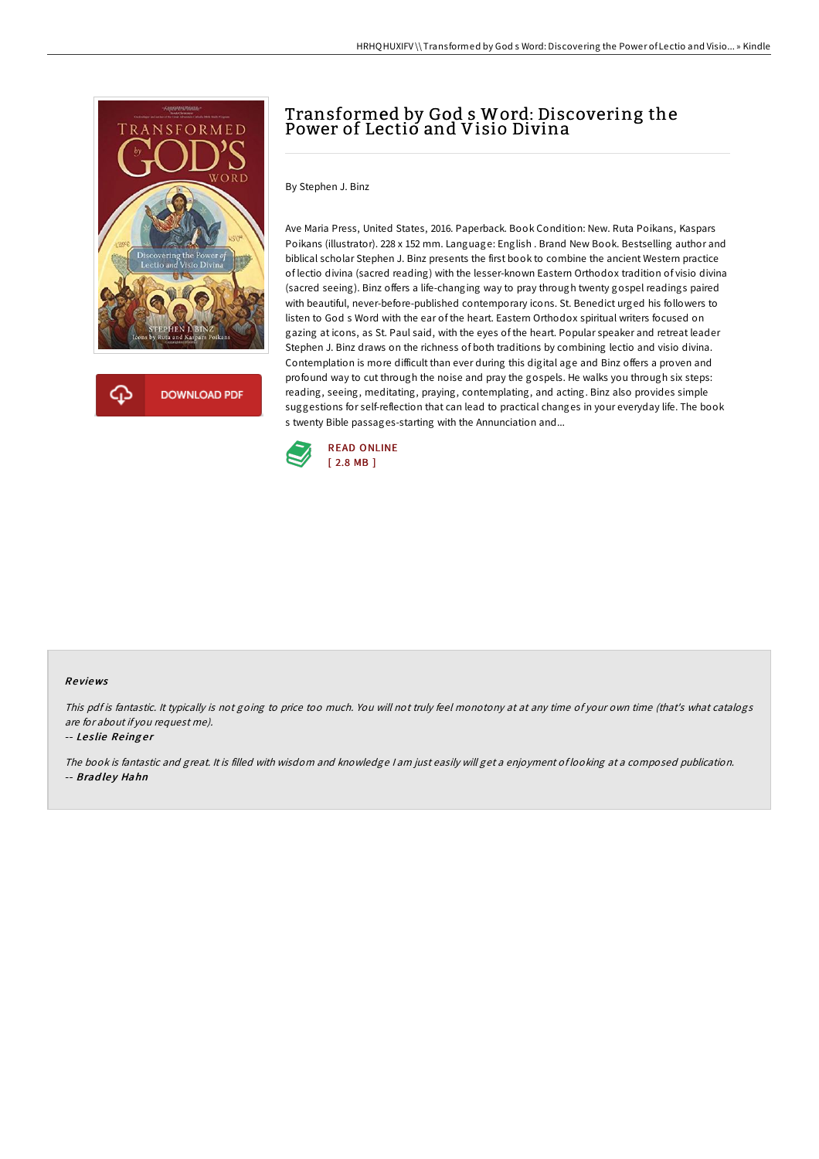

**DOWNLOAD PDF** 

# Transformed by God s Word: Discovering the Power of Lectio and Visio Divina

By Stephen J. Binz

Ave Maria Press, United States, 2016. Paperback. Book Condition: New. Ruta Poikans, Kaspars Poikans (illustrator). 228 x 152 mm. Language: English . Brand New Book. Bestselling author and biblical scholar Stephen J. Binz presents the first book to combine the ancient Western practice of lectio divina (sacred reading) with the lesser-known Eastern Orthodox tradition of visio divina (sacred seeing). Binz offers a life-changing way to pray through twenty gospel readings paired with beautiful, never-before-published contemporary icons. St. Benedict urged his followers to listen to God s Word with the ear of the heart. Eastern Orthodox spiritual writers focused on gazing at icons, as St. Paul said, with the eyes of the heart. Popular speaker and retreat leader Stephen J. Binz draws on the richness of both traditions by combining lectio and visio divina. Contemplation is more difficult than ever during this digital age and Binz offers a proven and profound way to cut through the noise and pray the gospels. He walks you through six steps: reading, seeing, meditating, praying, contemplating, and acting. Binz also provides simple suggestions for self-reflection that can lead to practical changes in your everyday life. The book s twenty Bible passages-starting with the Annunciation and...



#### Re views

This pdf is fantastic. It typically is not going to price too much. You will not truly feel monotony at at any time of your own time (that's what catalogs are for about if you request me).

#### -- Leslie Reinger

The book is fantastic and great. It is filled with wisdom and knowledge <sup>I</sup> am just easily will get <sup>a</sup> enjoyment of looking at <sup>a</sup> composed publication. -- Bradley Hahn